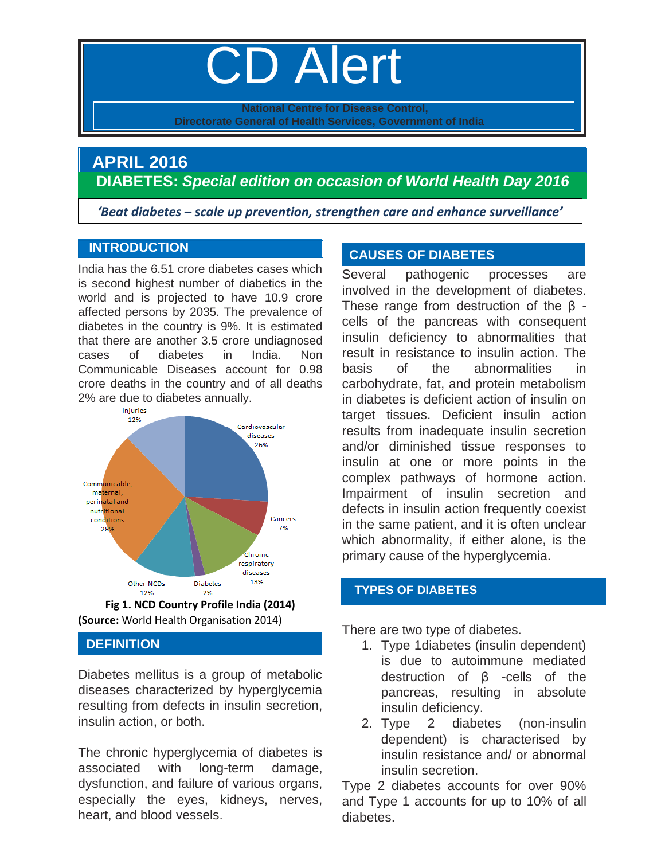# CD Alert

**National Centre for Disease Control, Directorate General of Health Services, Government of India**

# **APRIL 2016 DIABETES:** *Special edition on occasion of World Health Day 2016*

 *'Beat diabetes – scale up prevention, strengthen care and enhance surveillance'*

## **INTRODUCTION**

India has the 6.51 crore diabetes cases which is second highest number of diabetics in the world and is projected to have 10.9 crore affected persons by 2035. The prevalence of diabetes in the country is 9%. It is estimated that there are another 3.5 crore undiagnosed cases of diabetes in India. Non Communicable Diseases account for 0.98 crore deaths in the country and of all deaths 2% are due to diabetes annually.





# **DEFINITION**

Diabetes mellitus is a group of metabolic diseases characterized by hyperglycemia resulting from defects in insulin secretion, insulin action, or both.

The chronic hyperglycemia of diabetes is associated with long-term damage, dysfunction, and failure of various organs, especially the eyes, kidneys, nerves, heart, and blood vessels.

# **CAUSES OF DIABETES**

Several pathogenic processes are involved in the development of diabetes. These range from destruction of the β cells of the pancreas with consequent insulin deficiency to abnormalities that result in resistance to insulin action. The basis of the abnormalities in carbohydrate, fat, and protein metabolism in diabetes is deficient action of insulin on target tissues. Deficient insulin action results from inadequate insulin secretion and/or diminished tissue responses to insulin at one or more points in the complex pathways of hormone action. Impairment of insulin secretion and defects in insulin action frequently coexist in the same patient, and it is often unclear which abnormality, if either alone, is the primary cause of the hyperglycemia.

# **TYPES OF DIABETES**

There are two type of diabetes.

- 1. Type 1diabetes (insulin dependent) is due to autoimmune mediated destruction of β -cells of the pancreas, resulting in absolute insulin deficiency.
- 2. Type 2 diabetes (non-insulin dependent) is characterised by insulin resistance and/ or abnormal insulin secretion.

Type 2 diabetes accounts for over 90% and Type 1 accounts for up to 10% of all diabetes.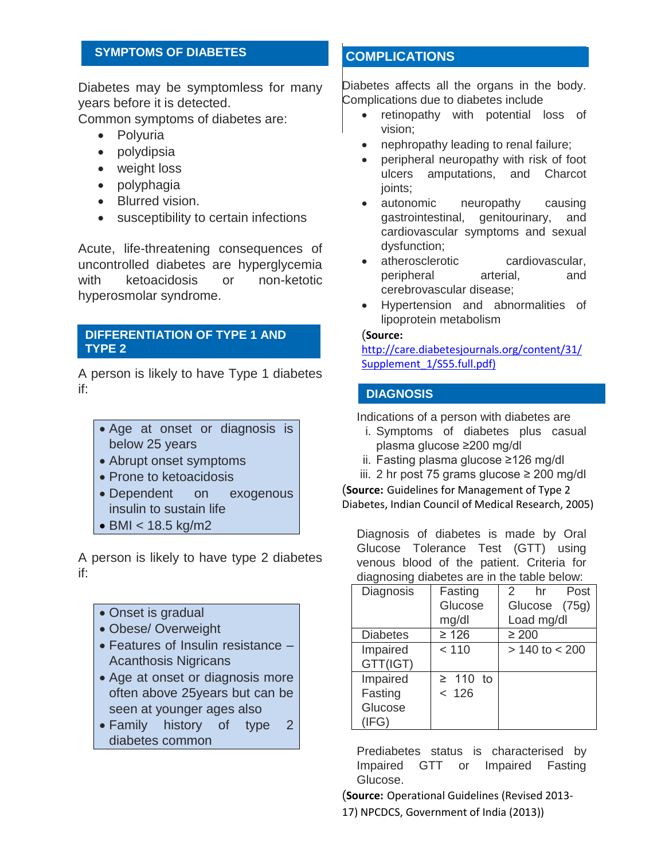### **SYMPTOMS OF DIABETES**

Diabetes may be symptomless for many years before it is detected.

Common symptoms of diabetes are:

- Polyuria
- polydipsia
- weight loss
- polyphagia
- Blurred vision.
- susceptibility to certain infections

Acute, life-threatening consequences of uncontrolled diabetes are hyperglycemia with ketoacidosis or non-ketotic hyperosmolar syndrome.

#### **DIFFERENTIATION OF TYPE 1 AND TYPE 2**

A person is likely to have Type 1 diabetes if:

- Age at onset or diagnosis is below 25 years
- Abrupt onset symptoms
- Prone to ketoacidosis
- Dependent on exogenous insulin to sustain life
- BMI < 18.5 kg/m2

A person is likely to have type 2 diabetes if:

- Onset is gradual
- Obese/ Overweight
- Features of Insulin resistance Acanthosis Nigricans
- Age at onset or diagnosis more often above 25years but can be seen at younger ages also
- Family history of type 2 diabetes common

## **COMPLICATIONS**

Diabetes affects all the organs in the body. Complications due to diabetes include

- retinopathy with potential loss of vision;
- nephropathy leading to renal failure;
- peripheral neuropathy with risk of foot ulcers amputations, and Charcot joints;
- autonomic neuropathy causing gastrointestinal, genitourinary, and cardiovascular symptoms and sexual dysfunction;
- atherosclerotic cardiovascular, peripheral arterial, and cerebrovascular disease;
- Hypertension and abnormalities of lipoprotein metabolism

#### (**Source:**

[http://care.diabetesjournals.org/content/31/](http://care.diabetesjournals.org/content/31/Supplement_1/S55.full.pdf) [Supplement\\_1/S55.full.pdf\)](http://care.diabetesjournals.org/content/31/Supplement_1/S55.full.pdf)

#### **DIAGNOSIS**

Indications of a person with diabetes are

- i. Symptoms of diabetes plus casual plasma glucose ≥200 mg/dl
- ii. Fasting plasma glucose ≥126 mg/dl
- iii. 2 hr post 75 grams glucose ≥ 200 mg/dl

(**Source:** Guidelines for Management of Type 2 Diabetes, Indian Council of Medical Research, 2005)

Diagnosis of diabetes is made by Oral Glucose Tolerance Test (GTT) using venous blood of the patient. Criteria for diagnosing diabetes are in the table below:

| Diagnosis       | Fasting       | Post<br>$\mathcal{P}$<br>hr |
|-----------------|---------------|-----------------------------|
|                 | Glucose       | Glucose (75g)               |
|                 | mg/dl         | Load mg/dl                  |
| <b>Diabetes</b> | $\geq 126$    | $\geq 200$                  |
| Impaired        | < 110         | $> 140$ to $< 200$          |
| GTT(IGT)        |               |                             |
| Impaired        | $\geq$ 110 to |                             |
| Fasting         | < 126         |                             |
| Glucose         |               |                             |
| (IFG)           |               |                             |

Prediabetes status is characterised by Impaired GTT or Impaired Fasting Glucose.

(**Source:** Operational Guidelines (Revised 2013-

17) NPCDCS, Government of India (2013))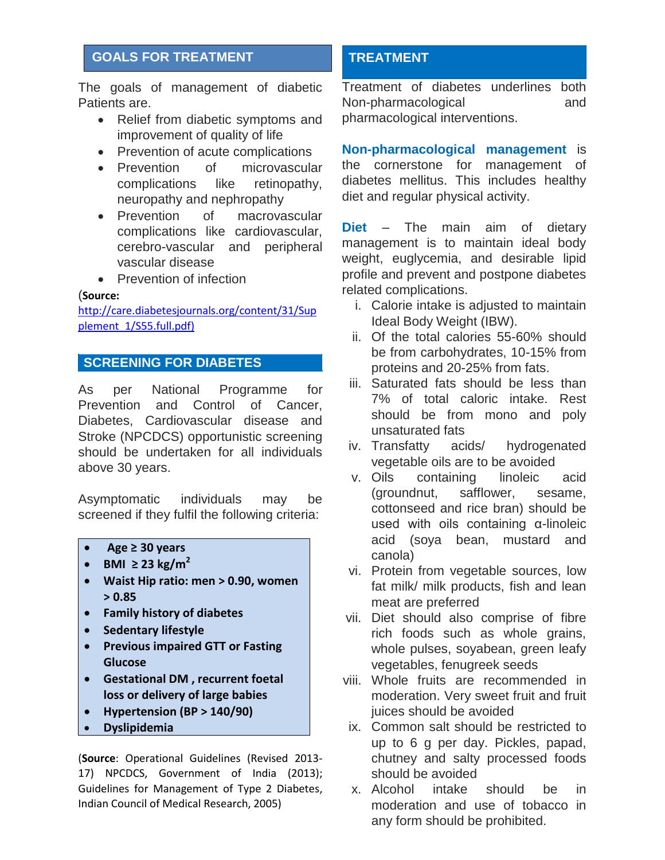# **GOALS FOR TREATMENT**

The goals of management of diabetic Patients are.

- Relief from diabetic symptoms and improvement of quality of life
- Prevention of acute complications
- Prevention of microvascular complications like retinopathy, neuropathy and nephropathy
- Prevention of macrovascular complications like cardiovascular, cerebro-vascular and peripheral vascular disease
- Prevention of infection

#### (**Source:**

[http://care.diabetesjournals.org/content/31/Sup](http://care.diabetesjournals.org/content/31/Supplement_1/S55.full.pdf) [plement\\_1/S55.full.pdf\)](http://care.diabetesjournals.org/content/31/Supplement_1/S55.full.pdf)

## **SCREENING FOR DIABETES**

As per National Programme for Prevention and Control of Cancer, Diabetes, Cardiovascular disease and Stroke (NPCDCS) opportunistic screening should be undertaken for all individuals above 30 years.

Asymptomatic individuals may be screened if they fulfil the following criteria:

- **Age ≥ 30 years**
- **•** BMI  $\geq$  23 kg/m<sup>2</sup>
- **Waist Hip ratio: men > 0.90, women > 0.85**
- **Family history of diabetes**
- **Sedentary lifestyle**
- **Previous impaired GTT or Fasting Glucose**
- **Gestational DM , recurrent foetal loss or delivery of large babies**
- **Hypertension (BP > 140/90)**
- **Dyslipidemia**

(**Source**: Operational Guidelines (Revised 2013- 17) NPCDCS, Government of India (2013); Guidelines for Management of Type 2 Diabetes, Indian Council of Medical Research, 2005)

# **TREATMENT**

Treatment of diabetes underlines both Non-pharmacological and pharmacological interventions.

**Non-pharmacological management** is the cornerstone for management of diabetes mellitus. This includes healthy diet and regular physical activity.

**Diet** – The main aim of dietary management is to maintain ideal body weight, euglycemia, and desirable lipid profile and prevent and postpone diabetes related complications.

- i. Calorie intake is adjusted to maintain Ideal Body Weight (IBW).
- ii. Of the total calories 55-60% should be from carbohydrates, 10-15% from proteins and 20-25% from fats.
- iii. Saturated fats should be less than 7% of total caloric intake. Rest should be from mono and poly unsaturated fats
- iv. Transfatty acids/ hydrogenated vegetable oils are to be avoided
- v. Oils containing linoleic acid (groundnut, safflower, sesame, cottonseed and rice bran) should be used with oils containing α-linoleic acid (soya bean, mustard and canola)
- vi. Protein from vegetable sources, low fat milk/ milk products, fish and lean meat are preferred
- vii. Diet should also comprise of fibre rich foods such as whole grains, whole pulses, soyabean, green leafy vegetables, fenugreek seeds
- viii. Whole fruits are recommended in moderation. Very sweet fruit and fruit juices should be avoided
- ix. Common salt should be restricted to up to 6 g per day. Pickles, papad, chutney and salty processed foods should be avoided
- x. Alcohol intake should be in moderation and use of tobacco in any form should be prohibited.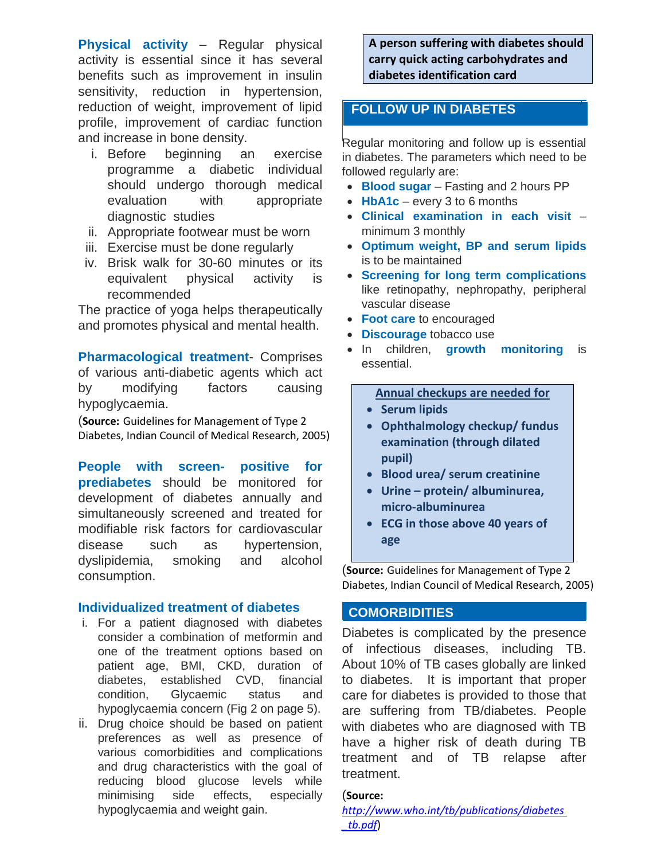**Physical activity** – Regular physical activity is essential since it has several benefits such as improvement in insulin sensitivity, reduction in hypertension, reduction of weight, improvement of lipid profile, improvement of cardiac function and increase in bone density.

- i. Before beginning an exercise programme a diabetic individual should undergo thorough medical evaluation with appropriate diagnostic studies
- ii. Appropriate footwear must be worn
- iii. Exercise must be done regularly
- iv. Brisk walk for 30-60 minutes or its equivalent physical activity is recommended

The practice of yoga helps therapeutically and promotes physical and mental health.

**Pharmacological treatment**- Comprises of various anti-diabetic agents which act by modifying factors causing hypoglycaemia.

(**Source:** Guidelines for Management of Type 2 Diabetes, Indian Council of Medical Research, 2005)

**People with screen- positive for prediabetes** should be monitored for development of diabetes annually and simultaneously screened and treated for modifiable risk factors for cardiovascular disease such as hypertension, dyslipidemia, smoking and alcohol consumption.

#### **Individualized treatment of diabetes**

- i. For a patient diagnosed with diabetes consider a combination of metformin and one of the treatment options based on patient age, BMI, CKD, duration of diabetes, established CVD, financial condition, Glycaemic status and hypoglycaemia concern (Fig 2 on page 5).
- ii. Drug choice should be based on patient preferences as well as presence of various comorbidities and complications and drug characteristics with the goal of reducing blood glucose levels while minimising side effects, especially hypoglycaemia and weight gain.

**A person suffering with diabetes should carry quick acting carbohydrates and diabetes identification card**

# **FOLLOW UP IN DIABETES**

Regular monitoring and follow up is essential in diabetes. The parameters which need to be followed regularly are:

- **Blood sugar** Fasting and 2 hours PP
- HbA1c every 3 to 6 months
- **Clinical examination in each visit** minimum 3 monthly
- **Optimum weight, BP and serum lipids** is to be maintained
- **Screening for long term complications** like retinopathy, nephropathy, peripheral vascular disease
- **Foot care** to encouraged
- **Discourage** tobacco use
- In children, **growth monitoring** is essential.

#### **Annual checkups are needed for**

- **•** Serum lipids
- **Ophthalmology checkup/ fundus examination (through dilated pupil)**
- **Blood urea/ serum creatinine**
- **Urine – protein/ albuminurea, micro-albuminurea**
- **ECG in those above 40 years of age**

(**Source:** Guidelines for Management of Type 2 Diabetes, Indian Council of Medical Research, 2005)

#### **COMORBIDITIES**

Diabetes is complicated by the presence of infectious diseases, including TB. About 10% of TB cases globally are linked to diabetes. It is important that proper care for diabetes is provided to those that are suffering from TB/diabetes. People with diabetes who are diagnosed with TB have a higher risk of death during TB treatment and of TB relapse after treatment.

#### (**Source:**

*[http://www.who.int/tb/publications/diabetes](http://www.who.int/tb/publications/diabetes%20_tb.pdf)  [\\_tb.pdf](http://www.who.int/tb/publications/diabetes%20_tb.pdf)*)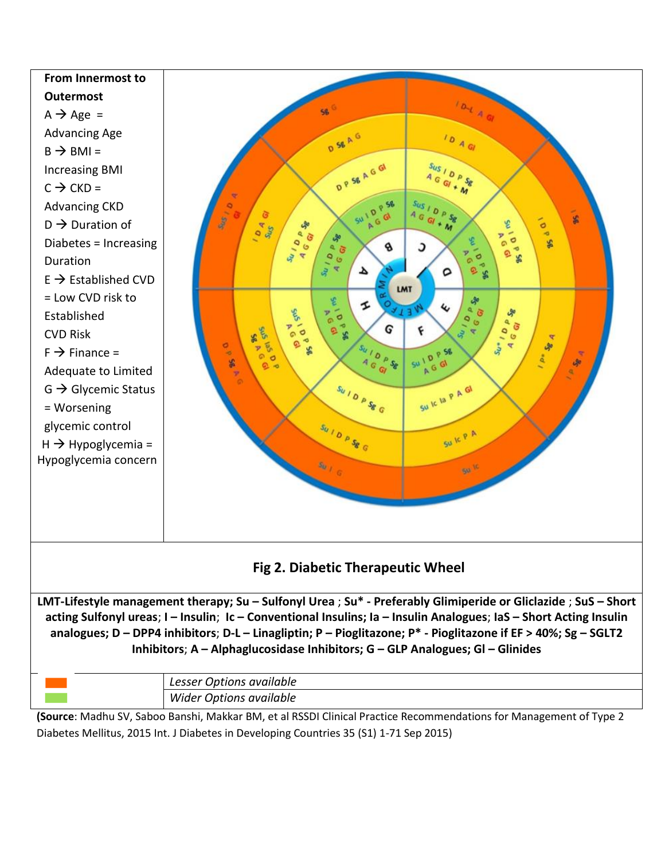

|                                                                                                                    | <b>Wider Options available</b> |  |
|--------------------------------------------------------------------------------------------------------------------|--------------------------------|--|
| (Source: Madhu SV, Saboo Banshi, Makkar BM, et al RSSDI Clinical Practice Recommendations for Management of Type 2 |                                |  |
|                                                                                                                    |                                |  |

Diabetes Mellitus, 2015 Int. J Diabetes in Developing Countries 35 (S1) 1-71 Sep 2015)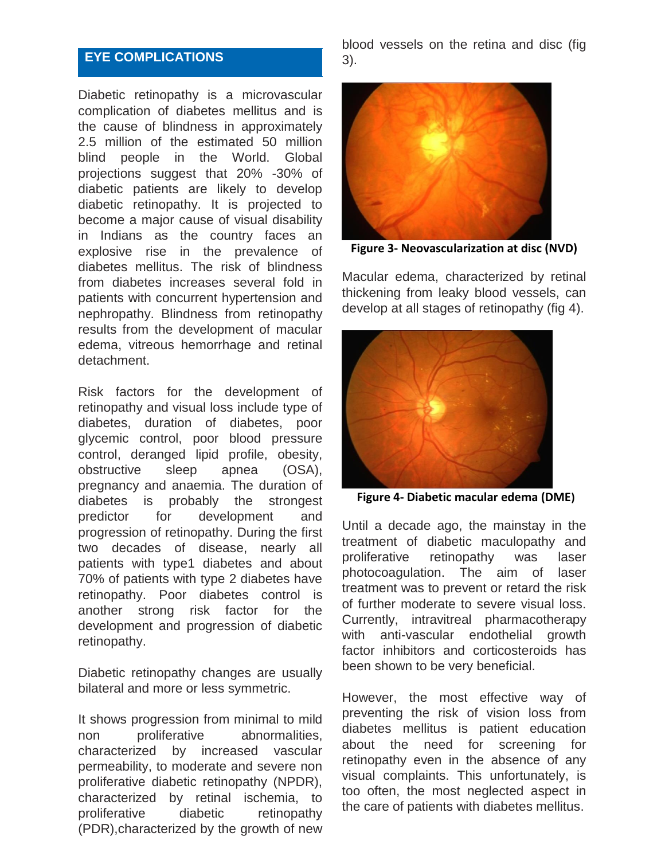# **EYE COMPLICATIONS**

Diabetic retinopathy is a microvascular complication of diabetes mellitus and is the cause of blindness in approximately 2.5 million of the estimated 50 million blind people in the World. Global projections suggest that 20% -30% of diabetic patients are likely to develop diabetic retinopathy. It is projected to become a major cause of visual disability in Indians as the country faces an explosive rise in the prevalence of diabetes mellitus. The risk of blindness from diabetes increases several fold in patients with concurrent hypertension and nephropathy. Blindness from retinopathy results from the development of macular edema, vitreous hemorrhage and retinal detachment.

Risk factors for the development of retinopathy and visual loss include type of diabetes, duration of diabetes, poor glycemic control, poor blood pressure control, deranged lipid profile, obesity, obstructive sleep apnea (OSA), pregnancy and anaemia. The duration of diabetes is probably the strongest predictor for development and progression of retinopathy. During the first two decades of disease, nearly all patients with type1 diabetes and about 70% of patients with type 2 diabetes have retinopathy. Poor diabetes control is another strong risk factor for the development and progression of diabetic retinopathy.

Diabetic retinopathy changes are usually bilateral and more or less symmetric.

It shows progression from minimal to mild non proliferative abnormalities, characterized by increased vascular permeability, to moderate and severe non proliferative diabetic retinopathy (NPDR), characterized by retinal ischemia, to proliferative diabetic retinopathy (PDR),characterized by the growth of new

blood vessels on the retina and disc (fig 3).



**Figure 3- Neovascularization at disc (NVD)**

Macular edema, characterized by retinal thickening from leaky blood vessels, can develop at all stages of retinopathy (fig 4).



**Figure 4- Diabetic macular edema (DME)**

Until a decade ago, the mainstay in the treatment of diabetic maculopathy and proliferative retinopathy was laser photocoagulation. The aim of laser treatment was to prevent or retard the risk of further moderate to severe visual loss. Currently, intravitreal pharmacotherapy with anti-vascular endothelial growth factor inhibitors and corticosteroids has been shown to be very beneficial.

However, the most effective way of preventing the risk of vision loss from diabetes mellitus is patient education about the need for screening for retinopathy even in the absence of any visual complaints. This unfortunately, is too often, the most neglected aspect in the care of patients with diabetes mellitus.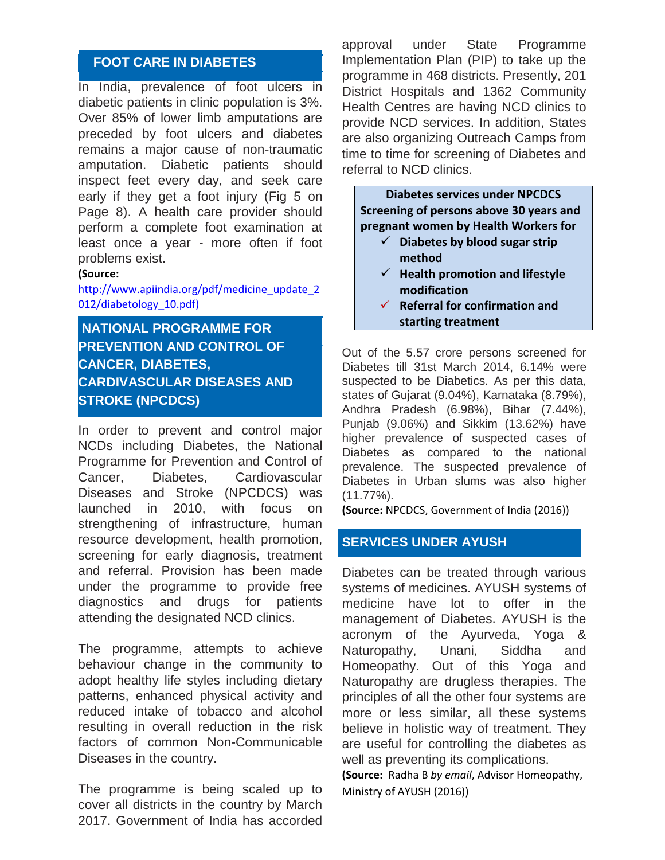## **FOOT CARE IN DIABETES**

In India, prevalence of foot ulcers in diabetic patients in clinic population is 3%. Over 85% of lower limb amputations are preceded by foot ulcers and diabetes remains a major cause of non-traumatic amputation. Diabetic patients should inspect feet every day, and seek care early if they get a foot injury (Fig 5 on Page 8). A health care provider should perform a complete foot examination at least once a year - more often if foot problems exist.

#### **(Source:**

[http://www.apiindia.org/pdf/medicine\\_update\\_2](http://www.apiindia.org/pdf/medicine_update_2012/diabetology_10.pdf) [012/diabetology\\_10.pdf\)](http://www.apiindia.org/pdf/medicine_update_2012/diabetology_10.pdf)

**NATIONAL PROGRAMME FOR PREVENTION AND CONTROL OF CANCER, DIABETES, CARDIVASCULAR DISEASES AND STROKE (NPCDCS)**

In order to prevent and control major NCDs including Diabetes, the National Programme for Prevention and Control of Cancer, Diabetes, Cardiovascular Diseases and Stroke (NPCDCS) was launched in 2010, with focus on strengthening of infrastructure, human resource development, health promotion, screening for early diagnosis, treatment and referral. Provision has been made under the programme to provide free diagnostics and drugs for patients attending the designated NCD clinics.

The programme, attempts to achieve behaviour change in the community to adopt healthy life styles including dietary patterns, enhanced physical activity and reduced intake of tobacco and alcohol resulting in overall reduction in the risk factors of common Non-Communicable Diseases in the country.

The programme is being scaled up to cover all districts in the country by March 2017. Government of India has accorded approval under State Programme Implementation Plan (PIP) to take up the programme in 468 districts. Presently, 201 District Hospitals and 1362 Community Health Centres are having NCD clinics to provide NCD services. In addition, States are also organizing Outreach Camps from time to time for screening of Diabetes and referral to NCD clinics.

**Diabetes services under NPCDCS Screening of persons above 30 years and pregnant women by Health Workers for**

- **Diabetes by blood sugar strip method**
- $\checkmark$  Health promotion and lifestyle **modification**
- **Referral for confirmation and starting treatment**

Out of the 5.57 crore persons screened for Diabetes till 31st March 2014, 6.14% were suspected to be Diabetics. As per this data, states of Gujarat (9.04%), Karnataka (8.79%), Andhra Pradesh (6.98%), Bihar (7.44%), Punjab (9.06%) and Sikkim (13.62%) have higher prevalence of suspected cases of Diabetes as compared to the national prevalence. The suspected prevalence of Diabetes in Urban slums was also higher (11.77%).

**(Source:** NPCDCS, Government of India (2016))

## **SERVICES UNDER AYUSH**

Diabetes can be treated through various systems of medicines. AYUSH systems of medicine have lot to offer in the management of Diabetes. AYUSH is the acronym of the Ayurveda, Yoga & Naturopathy, Unani, Siddha and Homeopathy. Out of this Yoga and Naturopathy are drugless therapies. The principles of all the other four systems are more or less similar, all these systems believe in holistic way of treatment. They are useful for controlling the diabetes as well as preventing its complications.

**(Source:** Radha B *by email*, Advisor Homeopathy, Ministry of AYUSH (2016))